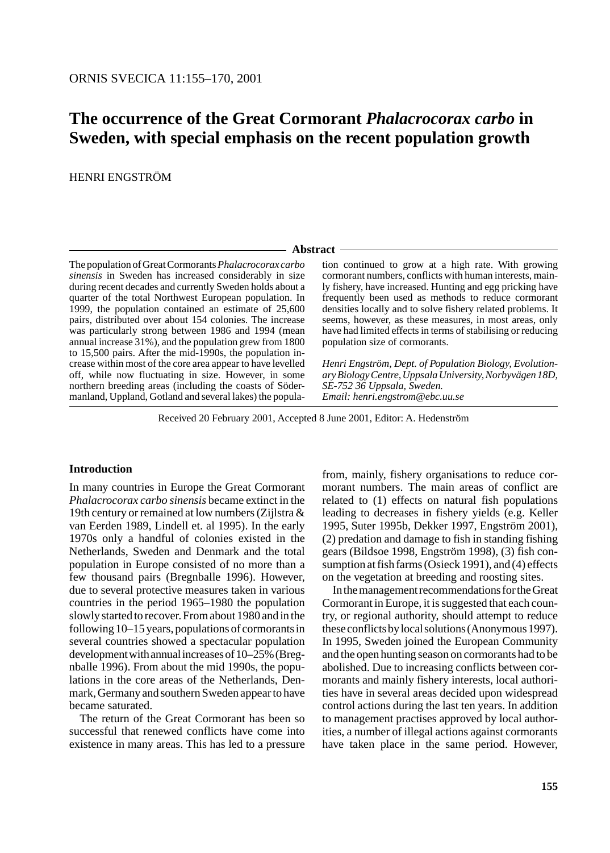# **The occurrence of the Great Cormorant** *Phalacrocorax carbo* **in Sweden, with special emphasis on the recent population growth**

HENRI ENGSTRÖM

#### - Abstract -

The population of Great Cormorants *Phalacrocorax carbo sinensis* in Sweden has increased considerably in size during recent decades and currently Sweden holds about a quarter of the total Northwest European population. In 1999, the population contained an estimate of 25,600 pairs, distributed over about 154 colonies. The increase was particularly strong between 1986 and 1994 (mean annual increase 31%), and the population grew from 1800 to 15,500 pairs. After the mid-1990s, the population increase within most of the core area appear to have levelled off, while now fluctuating in size. However, in some northern breeding areas (including the coasts of Södermanland, Uppland, Gotland and several lakes) the popula-

tion continued to grow at a high rate. With growing cormorant numbers, conflicts with human interests, mainly fishery, have increased. Hunting and egg pricking have frequently been used as methods to reduce cormorant densities locally and to solve fishery related problems. It seems, however, as these measures, in most areas, only have had limited effects in terms of stabilising or reducing population size of cormorants.

*Henri Engström, Dept. of Population Biology, Evolutionary Biology Centre, Uppsala University, Norbyvägen 18D, SE-752 36 Uppsala, Sweden. Email: henri.engstrom@ebc.uu.se*

Received 20 February 2001, Accepted 8 June 2001, Editor: A. Hedenström

#### **Introduction**

In many countries in Europe the Great Cormorant *Phalacrocorax carbo sinensis* became extinct in the 19th century or remained at low numbers (Zijlstra & van Eerden 1989, Lindell et. al 1995). In the early 1970s only a handful of colonies existed in the Netherlands, Sweden and Denmark and the total population in Europe consisted of no more than a few thousand pairs (Bregnballe 1996). However, due to several protective measures taken in various countries in the period 1965–1980 the population slowly started to recover. From about 1980 and in the following 10–15 years, populations of cormorants in several countries showed a spectacular population development with annual increases of 10–25% (Bregnballe 1996). From about the mid 1990s, the populations in the core areas of the Netherlands, Denmark, Germany and southern Sweden appear to have became saturated.

The return of the Great Cormorant has been so successful that renewed conflicts have come into existence in many areas. This has led to a pressure

from, mainly, fishery organisations to reduce cormorant numbers. The main areas of conflict are related to (1) effects on natural fish populations leading to decreases in fishery yields (e.g. Keller 1995, Suter 1995b, Dekker 1997, Engström 2001), (2) predation and damage to fish in standing fishing gears (Bildsoe 1998, Engström 1998), (3) fish consumption at fish farms (Osieck 1991), and (4) effects on the vegetation at breeding and roosting sites.

In the management recommendations for the Great Cormorant in Europe, it is suggested that each country, or regional authority, should attempt to reduce these conflicts by local solutions (Anonymous 1997). In 1995, Sweden joined the European Community and the open hunting season on cormorants had to be abolished. Due to increasing conflicts between cormorants and mainly fishery interests, local authorities have in several areas decided upon widespread control actions during the last ten years. In addition to management practises approved by local authorities, a number of illegal actions against cormorants have taken place in the same period. However,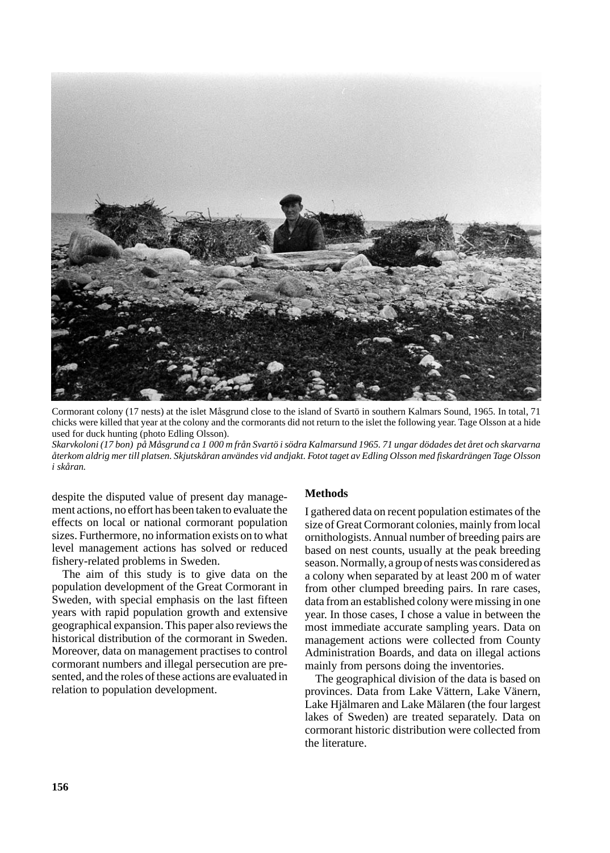

Cormorant colony (17 nests) at the islet Måsgrund close to the island of Svartö in southern Kalmars Sound, 1965. In total, 71 chicks were killed that year at the colony and the cormorants did not return to the islet the following year. Tage Olsson at a hide used for duck hunting (photo Edling Olsson).

*Skarvkoloni (17 bon) på Måsgrund ca 1 000 m från Svartö i södra Kalmarsund 1965. 71 ungar dödades det året och skarvarna återkom aldrig mer till platsen. Skjutskåran användes vid andjakt. Fotot taget av Edling Olsson med fiskardrängen Tage Olsson i skåran.*

despite the disputed value of present day management actions, no effort has been taken to evaluate the effects on local or national cormorant population sizes. Furthermore, no information exists on to what level management actions has solved or reduced fishery-related problems in Sweden.

The aim of this study is to give data on the population development of the Great Cormorant in Sweden, with special emphasis on the last fifteen years with rapid population growth and extensive geographical expansion. This paper also reviews the historical distribution of the cormorant in Sweden. Moreover, data on management practises to control cormorant numbers and illegal persecution are presented, and the roles of these actions are evaluated in relation to population development.

### **Methods**

I gathered data on recent population estimates of the size of Great Cormorant colonies, mainly from local ornithologists. Annual number of breeding pairs are based on nest counts, usually at the peak breeding season. Normally, a group of nests was considered as a colony when separated by at least 200 m of water from other clumped breeding pairs. In rare cases, data from an established colony were missing in one year. In those cases, I chose a value in between the most immediate accurate sampling years. Data on management actions were collected from County Administration Boards, and data on illegal actions mainly from persons doing the inventories.

The geographical division of the data is based on provinces. Data from Lake Vättern, Lake Vänern, Lake Hjälmaren and Lake Mälaren (the four largest lakes of Sweden) are treated separately. Data on cormorant historic distribution were collected from the literature.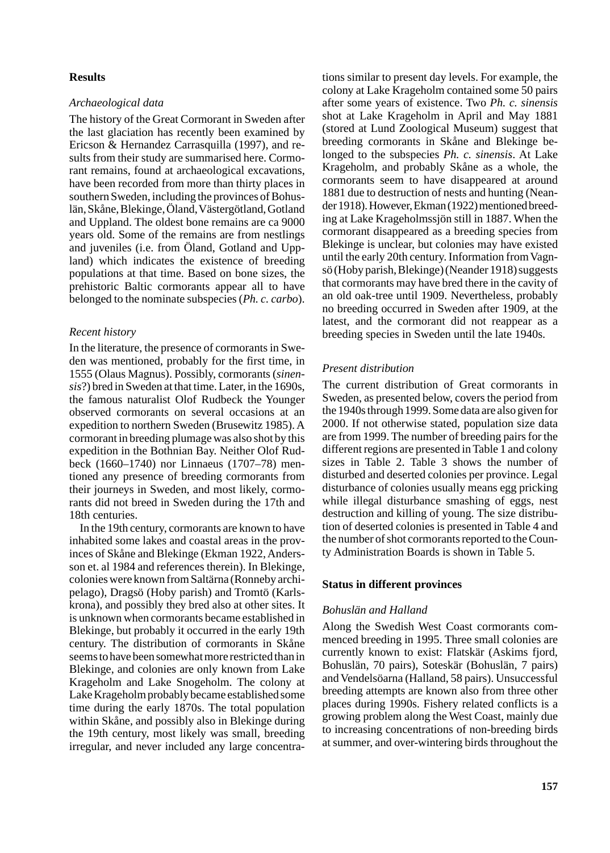#### **Results**

### *Archaeological data*

The history of the Great Cormorant in Sweden after the last glaciation has recently been examined by Ericson & Hernandez Carrasquilla (1997), and results from their study are summarised here. Cormorant remains, found at archaeological excavations, have been recorded from more than thirty places in southern Sweden, including the provinces of Bohuslän, Skåne, Blekinge, Öland, Västergötland, Gotland and Uppland. The oldest bone remains are ca 9000 years old. Some of the remains are from nestlings and juveniles (i.e. from Öland, Gotland and Uppland) which indicates the existence of breeding populations at that time. Based on bone sizes, the prehistoric Baltic cormorants appear all to have belonged to the nominate subspecies (*Ph. c. carbo*).

#### *Recent history*

In the literature, the presence of cormorants in Sweden was mentioned, probably for the first time, in 1555 (Olaus Magnus). Possibly, cormorants (*sinensis*?) bred in Sweden at that time. Later, in the 1690s, the famous naturalist Olof Rudbeck the Younger observed cormorants on several occasions at an expedition to northern Sweden (Brusewitz 1985). A cormorant in breeding plumage was also shot by this expedition in the Bothnian Bay. Neither Olof Rudbeck (1660–1740) nor Linnaeus (1707–78) mentioned any presence of breeding cormorants from their journeys in Sweden, and most likely, cormorants did not breed in Sweden during the 17th and 18th centuries.

In the 19th century, cormorants are known to have inhabited some lakes and coastal areas in the provinces of Skåne and Blekinge (Ekman 1922, Andersson et. al 1984 and references therein). In Blekinge, colonies were known from Saltärna (Ronneby archipelago), Dragsö (Hoby parish) and Tromtö (Karlskrona), and possibly they bred also at other sites. It is unknown when cormorants became established in Blekinge, but probably it occurred in the early 19th century. The distribution of cormorants in Skåne seems to have been somewhat more restricted than in Blekinge, and colonies are only known from Lake Krageholm and Lake Snogeholm. The colony at Lake Krageholm probably became established some time during the early 1870s. The total population within Skåne, and possibly also in Blekinge during the 19th century, most likely was small, breeding irregular, and never included any large concentra-

tions similar to present day levels. For example, the colony at Lake Krageholm contained some 50 pairs after some years of existence. Two *Ph. c. sinensis* shot at Lake Krageholm in April and May 1881 (stored at Lund Zoological Museum) suggest that breeding cormorants in Skåne and Blekinge belonged to the subspecies *Ph. c. sinensis*. At Lake Krageholm, and probably Skåne as a whole, the cormorants seem to have disappeared at around 1881 due to destruction of nests and hunting (Neander 1918). However, Ekman (1922) mentioned breeding at Lake Krageholmssjön still in 1887. When the cormorant disappeared as a breeding species from Blekinge is unclear, but colonies may have existed until the early 20th century. Information from Vagnsö (Hoby parish, Blekinge) (Neander 1918) suggests that cormorants may have bred there in the cavity of an old oak-tree until 1909. Nevertheless, probably no breeding occurred in Sweden after 1909, at the latest, and the cormorant did not reappear as a breeding species in Sweden until the late 1940s.

### *Present distribution*

The current distribution of Great cormorants in Sweden, as presented below, covers the period from the 1940s through 1999. Some data are also given for 2000. If not otherwise stated, population size data are from 1999. The number of breeding pairs for the different regions are presented in Table 1 and colony sizes in Table 2. Table 3 shows the number of disturbed and deserted colonies per province. Legal disturbance of colonies usually means egg pricking while illegal disturbance smashing of eggs, nest destruction and killing of young. The size distribution of deserted colonies is presented in Table 4 and the number of shot cormorants reported to the County Administration Boards is shown in Table 5.

### **Status in different provinces**

### *Bohuslän and Halland*

Along the Swedish West Coast cormorants commenced breeding in 1995. Three small colonies are currently known to exist: Flatskär (Askims fjord, Bohuslän, 70 pairs), Soteskär (Bohuslän, 7 pairs) and Vendelsöarna (Halland, 58 pairs). Unsuccessful breeding attempts are known also from three other places during 1990s. Fishery related conflicts is a growing problem along the West Coast, mainly due to increasing concentrations of non-breeding birds at summer, and over-wintering birds throughout the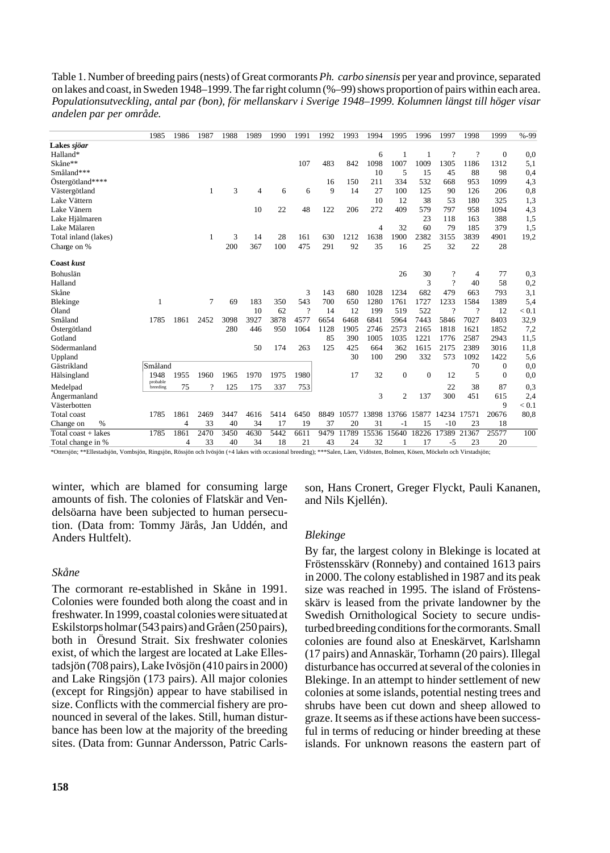Table 1. Number of breeding pairs (nests) of Great cormorants *Ph. carbo sinensis* per year and province, separated on lakes and coast, in Sweden 1948–1999. The far right column (%–99) shows proportion of pairs within each area. *Populationsutveckling, antal par (bon), för mellanskarv i Sverige 1948–1999. Kolumnen längst till höger visar andelen par per område.*

|                      | 1985             | 1986 | 1987           | 1988 | 1989 | 1990 | 1991 | 1992 | 1993  | 1994  | 1995           | 1996         | 1997     | 1998                     | 1999     | $% -99$ |
|----------------------|------------------|------|----------------|------|------|------|------|------|-------|-------|----------------|--------------|----------|--------------------------|----------|---------|
| Lakes sjöar          |                  |      |                |      |      |      |      |      |       |       |                |              |          |                          |          |         |
| Halland*             |                  |      |                |      |      |      |      |      |       | 6     | 1              |              | $\gamma$ | $\overline{\mathcal{L}}$ | $\Omega$ | 0,0     |
| Skåne**              |                  |      |                |      |      |      | 107  | 483  | 842   | 1098  | 1007           | 1009         | 1305     | 1186                     | 1312     | 5,1     |
| Småland***           |                  |      |                |      |      |      |      |      |       | 10    | 5              | 15           | 45       | 88                       | 98       | 0,4     |
| Östergötland****     |                  |      |                |      |      |      |      | 16   | 150   | 211   | 334            | 532          | 668      | 953                      | 1099     | 4,3     |
| Västergötland        |                  |      | 1              | 3    | 4    | 6    | 6    | 9    | 14    | 27    | 100            | 125          | 90       | 126                      | 206      | 0,8     |
| Lake Vättern         |                  |      |                |      |      |      |      |      |       | 10    | 12             | 38           | 53       | 180                      | 325      | 1,3     |
| Lake Vänern          |                  |      |                |      | 10   | 22   | 48   | 122  | 206   | 272   | 409            | 579          | 797      | 958                      | 1094     | 4,3     |
| Lake Hjälmaren       |                  |      |                |      |      |      |      |      |       |       |                | 23           | 118      | 163                      | 388      | 1,5     |
| Lake Mälaren         |                  |      |                |      |      |      |      |      |       | 4     | 32             | 60           | 79       | 185                      | 379      | 1,5     |
| Total inland (lakes) |                  |      | 1              | 3    | 14   | 28   | 161  | 630  | 1212  | 1638  | 1900           | 2382         | 3155     | 3839                     | 4901     | 19,2    |
| Charge on %          |                  |      |                | 200  | 367  | 100  | 475  | 291  | 92    | 35    | 16             | 25           | 32       | 22                       | 28       |         |
| <b>Coast kust</b>    |                  |      |                |      |      |      |      |      |       |       |                |              |          |                          |          |         |
| Bohuslän             |                  |      |                |      |      |      |      |      |       |       | 26             | 30           | ?        | 4                        | 77       | 0,3     |
| Halland              |                  |      |                |      |      |      |      |      |       |       |                | 3            | $\gamma$ | 40                       | 58       | 0,2     |
| Skåne                |                  |      |                |      |      |      | 3    | 143  | 680   | 1028  | 1234           | 682          | 479      | 663                      | 793      | 3,1     |
| Blekinge             | 1                |      | $\overline{7}$ | 69   | 183  | 350  | 543  | 700  | 650   | 1280  | 1761           | 1727         | 1233     | 1584                     | 1389     | 5,4     |
| Öland                |                  |      |                |      | 10   | 62   | 9    | 14   | 12    | 199   | 519            | 522          | 9        | $\overline{\mathcal{L}}$ | 12       | < 0.1   |
| Småland              | 1785             | 1861 | 2452           | 3098 | 3927 | 3878 | 4577 | 6654 | 6468  | 6841  | 5964           | 7443         | 5846     | 7027                     | 8403     | 32,9    |
| Östergötland         |                  |      |                | 280  | 446  | 950  | 1064 | 1128 | 1905  | 2746  | 2573           | 2165         | 1818     | 1621                     | 1852     | 7,2     |
| Gotland              |                  |      |                |      |      |      |      | 85   | 390   | 1005  | 1035           | 1221         | 1776     | 2587                     | 2943     | 11,5    |
| Södermanland         |                  |      |                |      | 50   | 174  | 263  | 125  | 425   | 664   | 362            | 1615         | 2175     | 2389                     | 3016     | 11,8    |
| Uppland              |                  |      |                |      |      |      |      |      | 30    | 100   | 290            | 332          | 573      | 1092                     | 1422     | 5,6     |
| Gästrikland          | Småland          |      |                |      |      |      |      |      |       |       |                |              |          | 70                       | 0        | 0,0     |
| Hälsingland          | 1948<br>probable | 1955 | 1960           | 1965 | 1970 | 1975 | 1980 |      | 17    | 32    | $\mathbf{0}$   | $\mathbf{0}$ | 12       | 5                        | $\Omega$ | 0,0     |
| Medelpad             | breeding         | 75   |                | 125  | 175  | 337  | 753  |      |       |       |                |              | 22       | 38                       | 87       | 0,3     |
| Angermanland         |                  |      |                |      |      |      |      |      |       | 3     | $\overline{c}$ | 137          | 300      | 451                      | 615      | 2,4     |
| Västerbotten         |                  |      |                |      |      |      |      |      |       |       |                |              |          |                          | 9        | < 0.1   |
| Total coast          | 1785             | 1861 | 2469           | 3447 | 4616 | 5414 | 6450 | 8849 | 10577 | 13898 | 13766          | 15877        | 14234    | 17571                    | 20676    | 80,8    |
| %<br>Change on       |                  | 4    | 33             | 40   | 34   | 17   | 19   | 37   | 20    | 31    | - 1            | 15           | $-10$    | 23                       | 18       |         |
| Total coast + lakes  | 1785             | 1861 | 2470           | 3450 | 4630 | 5442 | 6611 | 9479 | 11789 | 15536 | 15640          | 18226        | 17389    | 21367                    | 25577    | 100     |
| Total change in %    |                  | 4    | 33             | 40   | 34   | 18   | 21   | 43   | 24    | 32    |                | 17           | $-5$     | 23                       | 20       |         |

\*Ottersjön; \*\*Ellestadsjön, Vombsjön, Ringsjön, Rössjön och Ivösjön (+4 lakes with occasional breeding); \*\*\*Salen, Läen, Vidösten, Bolmen, Kösen, Möckeln och Virstadsjön;

winter, which are blamed for consuming large amounts of fish. The colonies of Flatskär and Vendelsöarna have been subjected to human persecution. (Data from: Tommy Järås, Jan Uddén, and Anders Hultfelt).

### *Skåne*

The cormorant re-established in Skåne in 1991. Colonies were founded both along the coast and in freshwater. In 1999, coastal colonies were situated at Eskilstorps holmar (543 pairs) and Gråen (250 pairs), both in Öresund Strait. Six freshwater colonies exist, of which the largest are located at Lake Ellestadsjön (708 pairs), Lake Ivösjön (410 pairs in 2000) and Lake Ringsjön (173 pairs). All major colonies (except for Ringsjön) appear to have stabilised in size. Conflicts with the commercial fishery are pronounced in several of the lakes. Still, human disturbance has been low at the majority of the breeding sites. (Data from: Gunnar Andersson, Patric Carlsson, Hans Cronert, Greger Flyckt, Pauli Kananen, and Nils Kjellén).

#### *Blekinge*

By far, the largest colony in Blekinge is located at Fröstensskärv (Ronneby) and contained 1613 pairs in 2000. The colony established in 1987 and its peak size was reached in 1995. The island of Fröstensskärv is leased from the private landowner by the Swedish Ornithological Society to secure undisturbed breeding conditions for the cormorants. Small colonies are found also at Eneskärvet, Karlshamn (17 pairs) and Annaskär, Torhamn (20 pairs). Illegal disturbance has occurred at several of the colonies in Blekinge. In an attempt to hinder settlement of new colonies at some islands, potential nesting trees and shrubs have been cut down and sheep allowed to graze. It seems as if these actions have been successful in terms of reducing or hinder breeding at these islands. For unknown reasons the eastern part of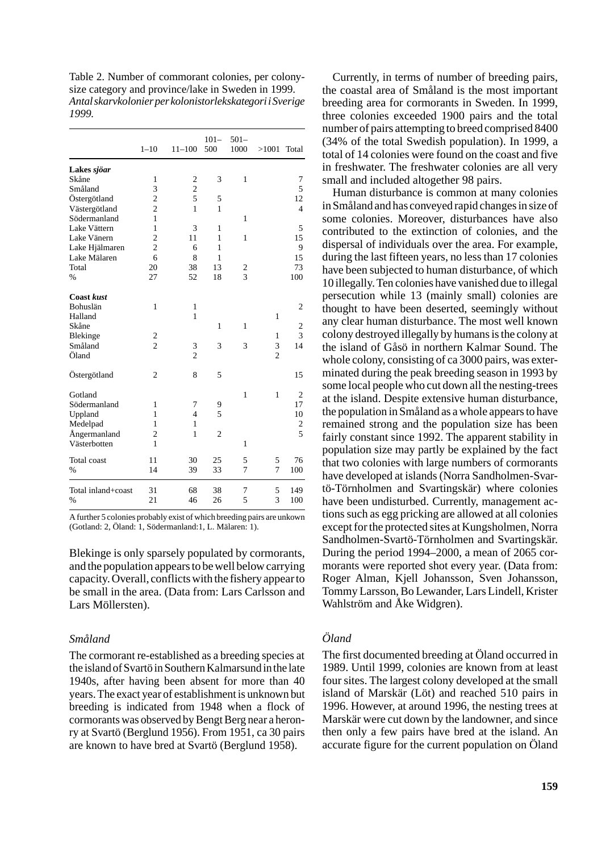Table 2. Number of commorant colonies, per colonysize category and province/lake in Sweden in 1999. *Antal skarvkolonier per kolonistorlekskategori i Sverige 1999.*

|                    | $1 - 10$       | $11 - 100$     | $101 -$<br>500 | $501 -$<br>1000 | >1001          | Total          |
|--------------------|----------------|----------------|----------------|-----------------|----------------|----------------|
| Lakes sjöar        |                |                |                |                 |                |                |
| Skåne              | 1              | $\overline{2}$ | 3              | $\mathbf{1}$    |                | 7              |
| Småland            | 3              | $\overline{c}$ |                |                 |                | 5              |
| Östergötland       | $\overline{c}$ | 5              | 5              |                 |                | 12             |
| Västergötland      | $\overline{c}$ | $\mathbf{1}$   | 1              |                 |                | $\overline{4}$ |
| Södermanland       | $\mathbf{1}$   |                |                | 1               |                |                |
| Lake Vättern       | $\mathbf{1}$   | 3              | 1              |                 |                | 5              |
| Lake Vänern        | $\overline{c}$ | 11             | 1              | 1               |                | 15             |
| Lake Hjälmaren     | $\overline{c}$ | 6              | 1              |                 |                | 9              |
| Lake Mälaren       | 6              | 8              | 1              |                 |                | 15             |
| Total              | 20             | 38             | 13             |                 |                | 73             |
| %                  | 27             | 52             | 18             | $\frac{2}{3}$   |                | 100            |
| <b>Coast kust</b>  |                |                |                |                 |                |                |
| <b>Bohuslän</b>    | 1              | $\mathbf{1}$   |                |                 |                | $\overline{2}$ |
| Halland            |                | $\mathbf{1}$   |                |                 | $\mathbf{1}$   |                |
| Skåne              |                |                | 1              | 1               |                | $\overline{2}$ |
| Blekinge           | $\frac{2}{2}$  |                |                |                 | $\mathbf{1}$   | 3              |
| Småland            |                | 3              | 3              | 3               | 3              | 14             |
| Öland              |                | $\overline{c}$ |                |                 | $\overline{c}$ |                |
| Östergötland       | $\overline{2}$ | 8              | 5              |                 |                | 15             |
| Gotland            |                |                |                | $\mathbf{1}$    | $\mathbf{1}$   | $\mathbf{2}$   |
| Södermanland       | 1              | 7              | 9              |                 |                | 17             |
| Uppland            | 1              | $\overline{4}$ | 5              |                 |                | 10             |
| Medelpad           | 1              | 1              |                |                 |                | $\overline{c}$ |
| Ångermanland       | $\overline{c}$ | $\mathbf{1}$   | $\overline{c}$ |                 |                | 5              |
| Västerbotten       | 1              |                |                | $\mathbf{1}$    |                |                |
| Total coast        | 11             | 30             | 25             | 5               | 5              | 76             |
| %                  | 14             | 39             | 33             | $\overline{7}$  | $\overline{7}$ | 100            |
| Total inland+coast | 31             | 68             | 38             | 7               | 5              | 149            |
| %                  | 21             | 46             | 26             | 5               | 3              | 100            |

A further 5 colonies probably exist of which breeding pairs are unkown (Gotland: 2, Öland: 1, Södermanland:1, L. Mälaren: 1).

Blekinge is only sparsely populated by cormorants, and the population appears to be well below carrying capacity. Overall, conflicts with the fishery appear to be small in the area. (Data from: Lars Carlsson and Lars Möllersten).

### *Småland*

The cormorant re-established as a breeding species at the island of Svartö in Southern Kalmarsund in the late 1940s, after having been absent for more than 40 years. The exact year of establishment is unknown but breeding is indicated from 1948 when a flock of cormorants was observed by Bengt Berg near a heronry at Svartö (Berglund 1956). From 1951, ca 30 pairs are known to have bred at Svartö (Berglund 1958).

Currently, in terms of number of breeding pairs, the coastal area of Småland is the most important breeding area for cormorants in Sweden. In 1999, three colonies exceeded 1900 pairs and the total number of pairs attempting to breed comprised 8400 (34% of the total Swedish population). In 1999, a total of 14 colonies were found on the coast and five in freshwater. The freshwater colonies are all very small and included altogether 98 pairs.

Human disturbance is common at many colonies in Småland and has conveyed rapid changes in size of some colonies. Moreover, disturbances have also contributed to the extinction of colonies, and the dispersal of individuals over the area. For example, during the last fifteen years, no less than 17 colonies have been subjected to human disturbance, of which 10 illegally. Ten colonies have vanished due to illegal persecution while 13 (mainly small) colonies are thought to have been deserted, seemingly without any clear human disturbance. The most well known colony destroyed illegally by humans is the colony at the island of Gåsö in northern Kalmar Sound. The whole colony, consisting of ca 3000 pairs, was exterminated during the peak breeding season in 1993 by some local people who cut down all the nesting-trees at the island. Despite extensive human disturbance, the population in Småland as a whole appears to have remained strong and the population size has been fairly constant since 1992. The apparent stability in population size may partly be explained by the fact that two colonies with large numbers of cormorants have developed at islands (Norra Sandholmen-Svartö-Törnholmen and Svartingskär) where colonies have been undisturbed. Currently, management actions such as egg pricking are allowed at all colonies except for the protected sites at Kungsholmen, Norra Sandholmen-Svartö-Törnholmen and Svartingskär. During the period 1994–2000, a mean of 2065 cormorants were reported shot every year. (Data from: Roger Alman, Kjell Johansson, Sven Johansson, Tommy Larsson, Bo Lewander, Lars Lindell, Krister Wahlström and Åke Widgren).

# *Öland*

The first documented breeding at Öland occurred in 1989. Until 1999, colonies are known from at least four sites. The largest colony developed at the small island of Marskär (Löt) and reached 510 pairs in 1996. However, at around 1996, the nesting trees at Marskär were cut down by the landowner, and since then only a few pairs have bred at the island. An accurate figure for the current population on Öland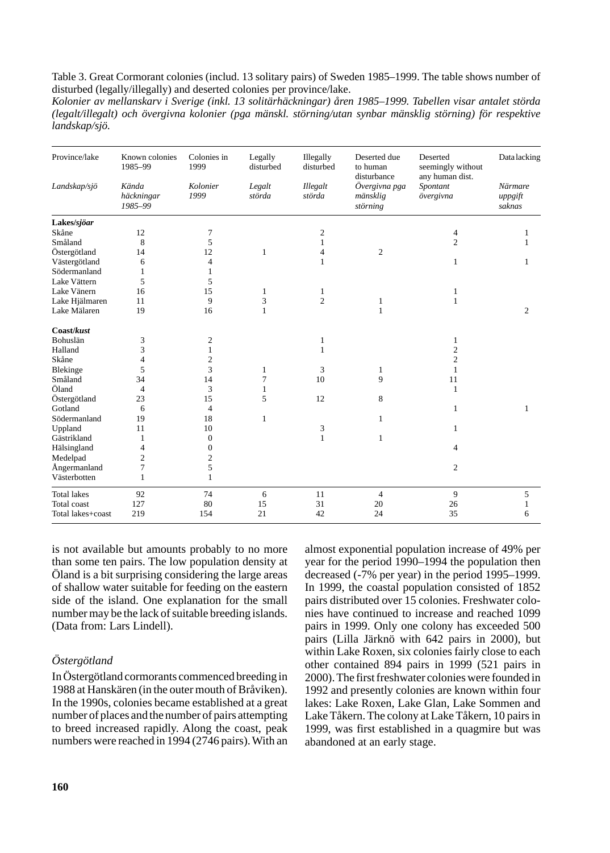Table 3. Great Cormorant colonies (includ. 13 solitary pairs) of Sweden 1985–1999. The table shows number of disturbed (legally/illegally) and deserted colonies per province/lake.

*Kolonier av mellanskarv i Sverige (inkl. 13 solitärhäckningar) åren 1985–1999. Tabellen visar antalet störda (legalt/illegalt) och övergivna kolonier (pga mänskl. störning/utan synbar mänsklig störning) för respektive landskap/sjö.*

| Province/lake      | Known colonies<br>1985-99      | Colonies in<br>1999 | Legally<br>disturbed | Illegally<br>disturbed | Deserted due<br>to human<br>disturbance | Deserted<br>seemingly without<br>any human dist. | <b>Datalacking</b>           |  |
|--------------------|--------------------------------|---------------------|----------------------|------------------------|-----------------------------------------|--------------------------------------------------|------------------------------|--|
| Landskap/sjö       | Kända<br>häckningar<br>1985-99 | Kolonier<br>1999    | Legalt<br>störda     | Illegalt<br>störda     | Övergivna pga<br>mänsklig<br>störning   | Spontant<br>övergivna                            | Närmare<br>uppgift<br>saknas |  |
| Lakes/sjöar        |                                |                     |                      |                        |                                         |                                                  |                              |  |
| Skåne              | 12                             | $\tau$              |                      | $\mathbf{2}$           |                                         | $\overline{4}$                                   | 1                            |  |
| Småland            | 8                              | 5                   |                      | 1                      |                                         | $\overline{c}$                                   | 1                            |  |
| Östergötland       | 14                             | 12                  | 1                    | $\overline{4}$         | $\overline{2}$                          |                                                  |                              |  |
| Västergötland      | 6                              | $\overline{4}$      |                      | 1                      |                                         | 1                                                | 1                            |  |
| Södermanland       | 1                              | $\mathbf{1}$        |                      |                        |                                         |                                                  |                              |  |
| Lake Vättern       | 5                              | 5                   |                      |                        |                                         |                                                  |                              |  |
| Lake Vänern        | 16                             | 15                  | 1                    | 1                      |                                         | 1                                                |                              |  |
| Lake Hjälmaren     | 11                             | 9                   | 3                    | $\overline{c}$         | 1                                       | $\mathbf{1}$                                     |                              |  |
| Lake Mälaren       | 19                             | 16                  | 1                    |                        | 1                                       |                                                  | $\overline{c}$               |  |
| Coast/kust         |                                |                     |                      |                        |                                         |                                                  |                              |  |
| Bohuslän           | 3                              | $\boldsymbol{2}$    |                      | 1                      |                                         | 1                                                |                              |  |
| Halland            | 3                              | 1                   |                      | 1                      |                                         | $\overline{2}$                                   |                              |  |
| Skåne              | 4                              | $\mathbf{2}$        |                      |                        |                                         | $\overline{c}$                                   |                              |  |
| Blekinge           | 5                              | 3                   | 1                    | 3                      | 1                                       | 1                                                |                              |  |
| Småland            | 34                             | 14                  | 7                    | 10                     | 9                                       | 11                                               |                              |  |
| Öland              | $\overline{4}$                 | 3                   | 1                    |                        |                                         | 1                                                |                              |  |
| Östergötland       | 23                             | 15                  | 5                    | 12                     | 8                                       |                                                  |                              |  |
| Gotland            | 6                              | $\overline{4}$      |                      |                        |                                         | $\mathbf{1}$                                     | 1                            |  |
| Södermanland       | 19                             | 18                  | $\mathbf{1}$         |                        | 1                                       |                                                  |                              |  |
| Uppland            | 11                             | 10                  |                      | 3                      |                                         | 1                                                |                              |  |
| Gästrikland        | 1                              | $\mathbf{0}$        |                      | 1                      | 1                                       |                                                  |                              |  |
| Hälsingland        | $\overline{4}$                 | $\boldsymbol{0}$    |                      |                        |                                         | $\overline{4}$                                   |                              |  |
| Medelpad           | $\overline{c}$                 | $\overline{c}$      |                      |                        |                                         |                                                  |                              |  |
| Ångermanland       | $\overline{7}$                 | 5                   |                      |                        |                                         | $\overline{c}$                                   |                              |  |
| Västerbotten       | $\mathbf{1}$                   | $\mathbf{1}$        |                      |                        |                                         |                                                  |                              |  |
| <b>Total lakes</b> | 92                             | 74                  | 6                    | 11                     | $\overline{4}$                          | 9                                                | 5                            |  |
| Total coast        | 127                            | 80                  | 15                   | 31                     | 20                                      | 26                                               | 1                            |  |
| Total lakes+coast  | 219                            | 154                 | 21                   | 42                     | 24                                      | 35                                               | 6                            |  |

is not available but amounts probably to no more than some ten pairs. The low population density at Öland is a bit surprising considering the large areas of shallow water suitable for feeding on the eastern side of the island. One explanation for the small number may be the lack of suitable breeding islands. (Data from: Lars Lindell).

# *Östergötland*

In Östergötland cormorants commenced breeding in 1988 at Hanskären (in the outer mouth of Bråviken). In the 1990s, colonies became established at a great number of places and the number of pairs attempting to breed increased rapidly. Along the coast, peak numbers were reached in 1994 (2746 pairs). With an almost exponential population increase of 49% per year for the period 1990–1994 the population then decreased (-7% per year) in the period 1995–1999. In 1999, the coastal population consisted of 1852 pairs distributed over 15 colonies. Freshwater colonies have continued to increase and reached 1099 pairs in 1999. Only one colony has exceeded 500 pairs (Lilla Järknö with 642 pairs in 2000), but within Lake Roxen, six colonies fairly close to each other contained 894 pairs in 1999 (521 pairs in 2000). The first freshwater colonies were founded in 1992 and presently colonies are known within four lakes: Lake Roxen, Lake Glan, Lake Sommen and Lake Tåkern. The colony at Lake Tåkern, 10 pairs in 1999, was first established in a quagmire but was abandoned at an early stage.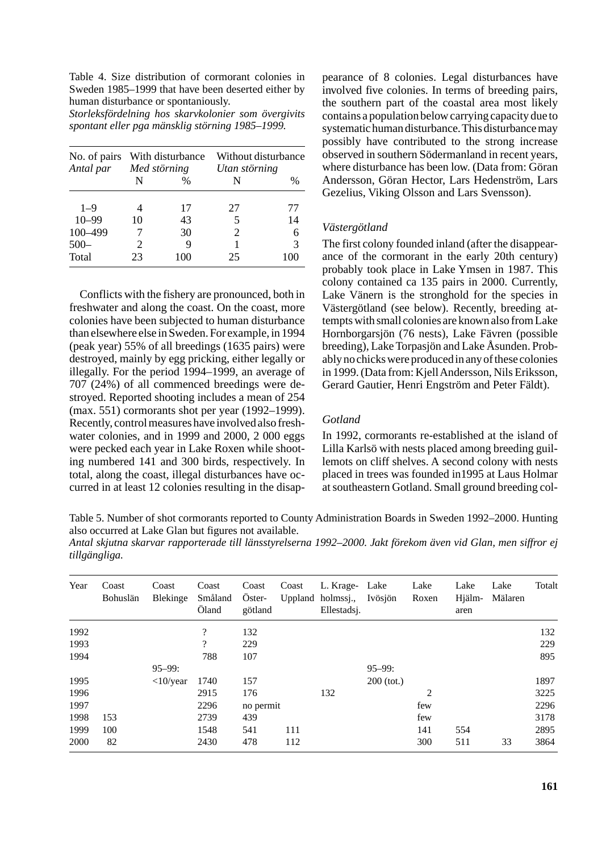Table 4. Size distribution of cormorant colonies in Sweden 1985–1999 that have been deserted either by human disturbance or spontaniously.

*Storleksfördelning hos skarvkolonier som övergivits spontant eller pga mänsklig störning 1985–1999.*

| No. of pairs With disturbance<br>Antal par Med störning |                             |      | Utan störning | Without disturbance |
|---------------------------------------------------------|-----------------------------|------|---------------|---------------------|
|                                                         | N                           | $\%$ | N             | $\frac{0}{0}$       |
| $1 - 9$                                                 |                             | 17   | 27            | 77                  |
| $10 - 99$                                               | 10                          | 43   | 5             | 14                  |
| 100-499                                                 |                             | 30   | 2             | 6                   |
| $500 -$                                                 | $\mathcal{D}_{\mathcal{A}}$ | 9    |               | 3                   |
| Total                                                   | 23                          | 100  | 25            |                     |

Conflicts with the fishery are pronounced, both in freshwater and along the coast. On the coast, more colonies have been subjected to human disturbance than elsewhere else in Sweden. For example, in 1994 (peak year) 55% of all breedings (1635 pairs) were destroyed, mainly by egg pricking, either legally or illegally. For the period 1994–1999, an average of 707 (24%) of all commenced breedings were destroyed. Reported shooting includes a mean of 254 (max. 551) cormorants shot per year (1992–1999). Recently, control measures have involved also freshwater colonies, and in 1999 and 2000, 2 000 eggs were pecked each year in Lake Roxen while shooting numbered 141 and 300 birds, respectively. In total, along the coast, illegal disturbances have occurred in at least 12 colonies resulting in the disap-

pearance of 8 colonies. Legal disturbances have involved five colonies. In terms of breeding pairs, the southern part of the coastal area most likely contains a population below carrying capacity due to systematic human disturbance. This disturbance may possibly have contributed to the strong increase observed in southern Södermanland in recent years, where disturbance has been low. (Data from: Göran Andersson, Göran Hector, Lars Hedenström, Lars Gezelius, Viking Olsson and Lars Svensson).

### *Västergötland*

The first colony founded inland (after the disappearance of the cormorant in the early 20th century) probably took place in Lake Ymsen in 1987. This colony contained ca 135 pairs in 2000. Currently, Lake Vänern is the stronghold for the species in Västergötland (see below). Recently, breeding attempts with small colonies are known also from Lake Hornborgarsjön (76 nests), Lake Fävren (possible breeding), Lake Torpasjön and Lake Åsunden. Probably no chicks were produced in any of these colonies in 1999. (Data from: Kjell Andersson, Nils Eriksson, Gerard Gautier, Henri Engström and Peter Fäldt).

### *Gotland*

In 1992, cormorants re-established at the island of Lilla Karlsö with nests placed among breeding guillemots on cliff shelves. A second colony with nests placed in trees was founded in1995 at Laus Holmar at southeastern Gotland. Small ground breeding col-

Table 5. Number of shot cormorants reported to County Administration Boards in Sweden 1992–2000. Hunting also occurred at Lake Glan but figures not available.

*Antal skjutna skarvar rapporterade till länsstyrelserna 1992–2000. Jakt förekom även vid Glan, men siffror ej tillgängliga.*

| Year | Coast<br>Bohuslän | Coast<br>Blekinge | Coast<br>Småland<br>Öland | Coast<br>Oster-<br>götland | Coast | L. Krage- Lake<br>Uppland holmssj.,<br>Ellestadsj. | Ivösjön      | Lake<br>Roxen  | Lake<br>Hjälm-<br>aren | Lake<br>Mälaren | Totalt |
|------|-------------------|-------------------|---------------------------|----------------------------|-------|----------------------------------------------------|--------------|----------------|------------------------|-----------------|--------|
| 1992 |                   |                   | $\overline{\cdot}$        | 132                        |       |                                                    |              |                |                        |                 | 132    |
| 1993 |                   |                   | $\overline{?}$            | 229                        |       |                                                    |              |                |                        |                 | 229    |
| 1994 |                   |                   | 788                       | 107                        |       |                                                    |              |                |                        |                 | 895    |
|      |                   | $95 - 99:$        |                           |                            |       |                                                    | $95 - 99:$   |                |                        |                 |        |
| 1995 |                   | $<$ 10/year       | 1740                      | 157                        |       |                                                    | $200$ (tot.) |                |                        |                 | 1897   |
| 1996 |                   |                   | 2915                      | 176                        |       | 132                                                |              | $\overline{c}$ |                        |                 | 3225   |
| 1997 |                   |                   | 2296                      | no permit                  |       |                                                    |              | few            |                        |                 | 2296   |
| 1998 | 153               |                   | 2739                      | 439                        |       |                                                    |              | few            |                        |                 | 3178   |
| 1999 | 100               |                   | 1548                      | 541                        | 111   |                                                    |              | 141            | 554                    |                 | 2895   |
| 2000 | 82                |                   | 2430                      | 478                        | 112   |                                                    |              | 300            | 511                    | 33              | 3864   |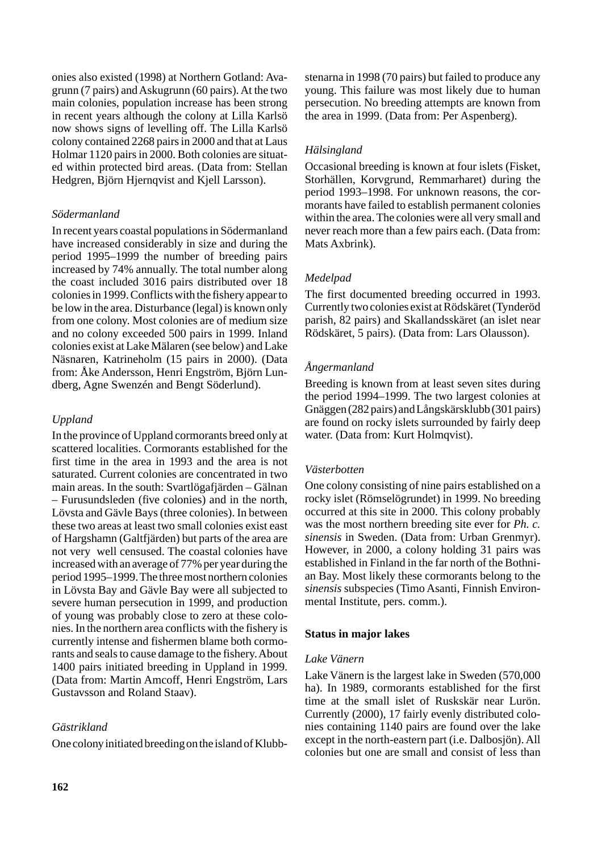onies also existed (1998) at Northern Gotland: Avagrunn (7 pairs) and Askugrunn (60 pairs). At the two main colonies, population increase has been strong in recent years although the colony at Lilla Karlsö now shows signs of levelling off. The Lilla Karlsö colony contained 2268 pairs in 2000 and that at Laus Holmar 1120 pairs in 2000. Both colonies are situated within protected bird areas. (Data from: Stellan Hedgren, Björn Hjernqvist and Kjell Larsson).

### *Södermanland*

In recent years coastal populations in Södermanland have increased considerably in size and during the period 1995–1999 the number of breeding pairs increased by 74% annually. The total number along the coast included 3016 pairs distributed over 18 colonies in 1999. Conflicts with the fishery appear to be low in the area. Disturbance (legal) is known only from one colony. Most colonies are of medium size and no colony exceeded 500 pairs in 1999. Inland colonies exist at Lake Mälaren (see below) and Lake Näsnaren, Katrineholm (15 pairs in 2000). (Data from: Åke Andersson, Henri Engström, Björn Lundberg, Agne Swenzén and Bengt Söderlund).

# *Uppland*

In the province of Uppland cormorants breed only at scattered localities. Cormorants established for the first time in the area in 1993 and the area is not saturated. Current colonies are concentrated in two main areas. In the south: Svartlögafjärden – Gälnan – Furusundsleden (five colonies) and in the north, Lövsta and Gävle Bays (three colonies). In between these two areas at least two small colonies exist east of Hargshamn (Galtfjärden) but parts of the area are not very well censused. The coastal colonies have increased with an average of 77% per year during the period 1995–1999. The three most northern colonies in Lövsta Bay and Gävle Bay were all subjected to severe human persecution in 1999, and production of young was probably close to zero at these colonies. In the northern area conflicts with the fishery is currently intense and fishermen blame both cormorants and seals to cause damage to the fishery. About 1400 pairs initiated breeding in Uppland in 1999. (Data from: Martin Amcoff, Henri Engström, Lars Gustavsson and Roland Staav).

# *Gästrikland*

One colony initiated breeding on the island of Klubb-

stenarna in 1998 (70 pairs) but failed to produce any young. This failure was most likely due to human persecution. No breeding attempts are known from the area in 1999. (Data from: Per Aspenberg).

# *Hälsingland*

Occasional breeding is known at four islets (Fisket, Storhällen, Korvgrund, Remmarharet) during the period 1993–1998. For unknown reasons, the cormorants have failed to establish permanent colonies within the area. The colonies were all very small and never reach more than a few pairs each. (Data from: Mats Axbrink).

# *Medelpad*

The first documented breeding occurred in 1993. Currently two colonies exist at Rödskäret (Tynderöd parish, 82 pairs) and Skallandsskäret (an islet near Rödskäret, 5 pairs). (Data from: Lars Olausson).

# *Ångermanland*

Breeding is known from at least seven sites during the period 1994–1999. The two largest colonies at Gnäggen (282 pairs) and Långskärsklubb (301 pairs) are found on rocky islets surrounded by fairly deep water. (Data from: Kurt Holmqvist).

# *Västerbotten*

One colony consisting of nine pairs established on a rocky islet (Römselögrundet) in 1999. No breeding occurred at this site in 2000. This colony probably was the most northern breeding site ever for *Ph. c. sinensis* in Sweden. (Data from: Urban Grenmyr). However, in 2000, a colony holding 31 pairs was established in Finland in the far north of the Bothnian Bay. Most likely these cormorants belong to the *sinensis* subspecies (Timo Asanti, Finnish Environmental Institute, pers. comm.).

# **Status in major lakes**

### *Lake Vänern*

Lake Vänern is the largest lake in Sweden (570,000 ha). In 1989, cormorants established for the first time at the small islet of Ruskskär near Lurön. Currently (2000), 17 fairly evenly distributed colonies containing 1140 pairs are found over the lake except in the north-eastern part (i.e. Dalbosjön). All colonies but one are small and consist of less than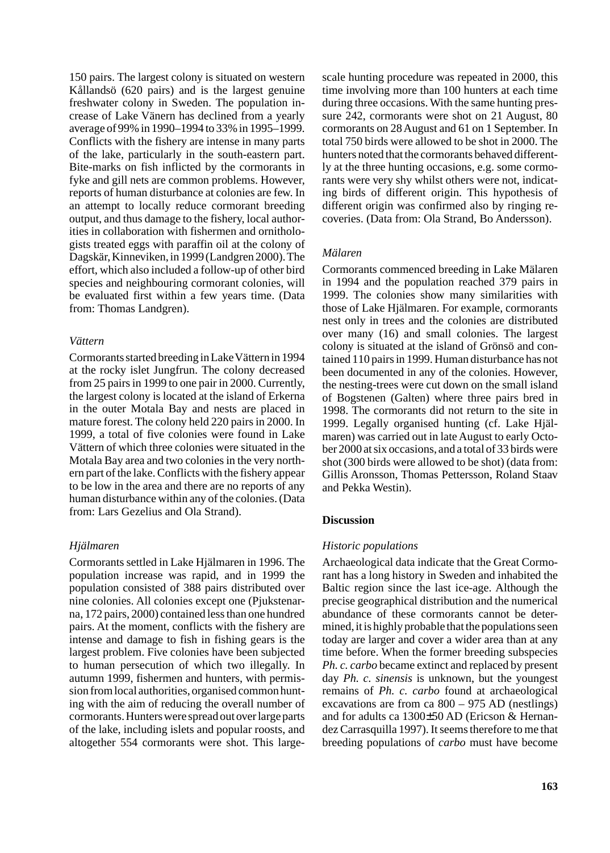150 pairs. The largest colony is situated on western Kållandsö (620 pairs) and is the largest genuine freshwater colony in Sweden. The population increase of Lake Vänern has declined from a yearly average of 99% in 1990–1994 to 33% in 1995–1999. Conflicts with the fishery are intense in many parts of the lake, particularly in the south-eastern part. Bite-marks on fish inflicted by the cormorants in fyke and gill nets are common problems. However, reports of human disturbance at colonies are few. In an attempt to locally reduce cormorant breeding output, and thus damage to the fishery, local authorities in collaboration with fishermen and ornithologists treated eggs with paraffin oil at the colony of Dagskär, Kinneviken, in 1999 (Landgren 2000). The effort, which also included a follow-up of other bird species and neighbouring cormorant colonies, will be evaluated first within a few years time. (Data from: Thomas Landgren).

### *Vättern*

Cormorants started breeding in Lake Vättern in 1994 at the rocky islet Jungfrun. The colony decreased from 25 pairs in 1999 to one pair in 2000. Currently, the largest colony is located at the island of Erkerna in the outer Motala Bay and nests are placed in mature forest. The colony held 220 pairs in 2000. In 1999, a total of five colonies were found in Lake Vättern of which three colonies were situated in the Motala Bay area and two colonies in the very northern part of the lake. Conflicts with the fishery appear to be low in the area and there are no reports of any human disturbance within any of the colonies. (Data from: Lars Gezelius and Ola Strand).

### *Hjälmaren*

Cormorants settled in Lake Hjälmaren in 1996. The population increase was rapid, and in 1999 the population consisted of 388 pairs distributed over nine colonies. All colonies except one (Pjukstenarna, 172 pairs, 2000) contained less than one hundred pairs. At the moment, conflicts with the fishery are intense and damage to fish in fishing gears is the largest problem. Five colonies have been subjected to human persecution of which two illegally. In autumn 1999, fishermen and hunters, with permission from local authorities, organised common hunting with the aim of reducing the overall number of cormorants. Hunters were spread out over large parts of the lake, including islets and popular roosts, and altogether 554 cormorants were shot. This large-

scale hunting procedure was repeated in 2000, this time involving more than 100 hunters at each time during three occasions. With the same hunting pressure 242, cormorants were shot on 21 August, 80 cormorants on 28 August and 61 on 1 September. In total 750 birds were allowed to be shot in 2000. The hunters noted that the cormorants behaved differently at the three hunting occasions, e.g. some cormorants were very shy whilst others were not, indicating birds of different origin. This hypothesis of different origin was confirmed also by ringing recoveries. (Data from: Ola Strand, Bo Andersson).

### *Mälaren*

Cormorants commenced breeding in Lake Mälaren in 1994 and the population reached 379 pairs in 1999. The colonies show many similarities with those of Lake Hjälmaren. For example, cormorants nest only in trees and the colonies are distributed over many (16) and small colonies. The largest colony is situated at the island of Grönsö and contained 110 pairs in 1999. Human disturbance has not been documented in any of the colonies. However, the nesting-trees were cut down on the small island of Bogstenen (Galten) where three pairs bred in 1998. The cormorants did not return to the site in 1999. Legally organised hunting (cf. Lake Hjälmaren) was carried out in late August to early October 2000 at six occasions, and a total of 33 birds were shot (300 birds were allowed to be shot) (data from: Gillis Aronsson, Thomas Pettersson, Roland Staav and Pekka Westin).

### **Discussion**

### *Historic populations*

Archaeological data indicate that the Great Cormorant has a long history in Sweden and inhabited the Baltic region since the last ice-age. Although the precise geographical distribution and the numerical abundance of these cormorants cannot be determined, it is highly probable that the populations seen today are larger and cover a wider area than at any time before. When the former breeding subspecies *Ph. c. carbo* became extinct and replaced by present day *Ph. c. sinensis* is unknown, but the youngest remains of *Ph. c. carbo* found at archaeological excavations are from ca 800 – 975 AD (nestlings) and for adults ca 1300±50 AD (Ericson & Hernandez Carrasquilla 1997). It seems therefore to me that breeding populations of *carbo* must have become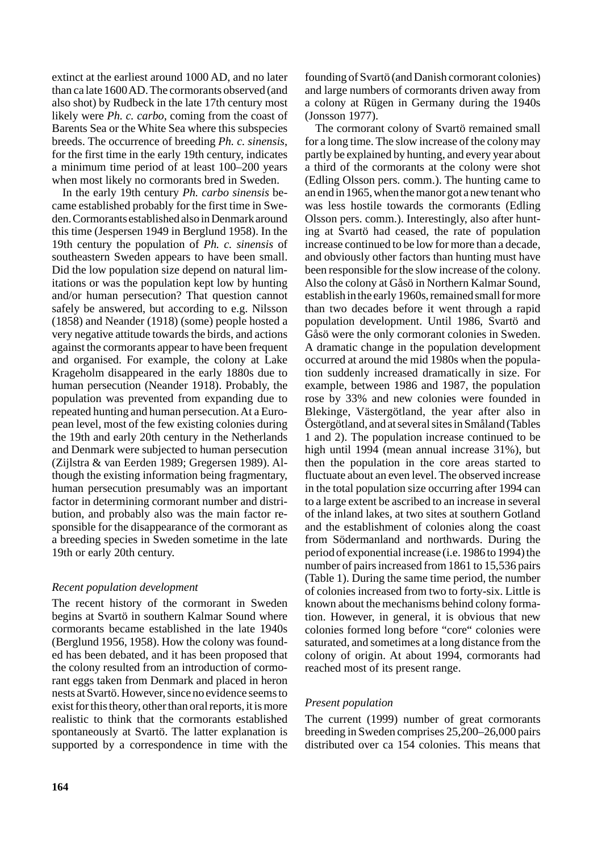extinct at the earliest around 1000 AD, and no later than ca late 1600 AD. The cormorants observed (and also shot) by Rudbeck in the late 17th century most likely were *Ph. c. carbo*, coming from the coast of Barents Sea or the White Sea where this subspecies breeds. The occurrence of breeding *Ph. c. sinensis*, for the first time in the early 19th century, indicates a minimum time period of at least 100–200 years when most likely no cormorants bred in Sweden.

In the early 19th century *Ph. carbo sinensis* became established probably for the first time in Sweden. Cormorants established also in Denmark around this time (Jespersen 1949 in Berglund 1958). In the 19th century the population of *Ph. c. sinensis* of southeastern Sweden appears to have been small. Did the low population size depend on natural limitations or was the population kept low by hunting and/or human persecution? That question cannot safely be answered, but according to e.g. Nilsson (1858) and Neander (1918) (some) people hosted a very negative attitude towards the birds, and actions against the cormorants appear to have been frequent and organised. For example, the colony at Lake Krageholm disappeared in the early 1880s due to human persecution (Neander 1918). Probably, the population was prevented from expanding due to repeated hunting and human persecution. At a European level, most of the few existing colonies during the 19th and early 20th century in the Netherlands and Denmark were subjected to human persecution (Zijlstra & van Eerden 1989; Gregersen 1989). Although the existing information being fragmentary, human persecution presumably was an important factor in determining cormorant number and distribution, and probably also was the main factor responsible for the disappearance of the cormorant as a breeding species in Sweden sometime in the late 19th or early 20th century.

### *Recent population development*

The recent history of the cormorant in Sweden begins at Svartö in southern Kalmar Sound where cormorants became established in the late 1940s (Berglund 1956, 1958). How the colony was founded has been debated, and it has been proposed that the colony resulted from an introduction of cormorant eggs taken from Denmark and placed in heron nests at Svartö. However, since no evidence seems to exist for this theory, other than oral reports, it is more realistic to think that the cormorants established spontaneously at Svartö. The latter explanation is supported by a correspondence in time with the founding of Svartö (and Danish cormorant colonies) and large numbers of cormorants driven away from a colony at Rügen in Germany during the 1940s (Jonsson 1977).

The cormorant colony of Svartö remained small for a long time. The slow increase of the colony may partly be explained by hunting, and every year about a third of the cormorants at the colony were shot (Edling Olsson pers. comm.). The hunting came to an end in 1965, when the manor got a new tenant who was less hostile towards the cormorants (Edling Olsson pers. comm.). Interestingly, also after hunting at Svartö had ceased, the rate of population increase continued to be low for more than a decade, and obviously other factors than hunting must have been responsible for the slow increase of the colony. Also the colony at Gåsö in Northern Kalmar Sound, establish in the early 1960s, remained small for more than two decades before it went through a rapid population development. Until 1986, Svartö and Gåsö were the only cormorant colonies in Sweden. A dramatic change in the population development occurred at around the mid 1980s when the population suddenly increased dramatically in size. For example, between 1986 and 1987, the population rose by 33% and new colonies were founded in Blekinge, Västergötland, the year after also in Östergötland, and at several sites in Småland (Tables 1 and 2). The population increase continued to be high until 1994 (mean annual increase 31%), but then the population in the core areas started to fluctuate about an even level. The observed increase in the total population size occurring after 1994 can to a large extent be ascribed to an increase in several of the inland lakes, at two sites at southern Gotland and the establishment of colonies along the coast from Södermanland and northwards. During the period of exponential increase (i.e. 1986 to 1994) the number of pairs increased from 1861 to 15,536 pairs (Table 1). During the same time period, the number of colonies increased from two to forty-six. Little is known about the mechanisms behind colony formation. However, in general, it is obvious that new colonies formed long before "core" colonies were saturated, and sometimes at a long distance from the colony of origin. At about 1994, cormorants had reached most of its present range.

### *Present population*

The current (1999) number of great cormorants breeding in Sweden comprises 25,200–26,000 pairs distributed over ca 154 colonies. This means that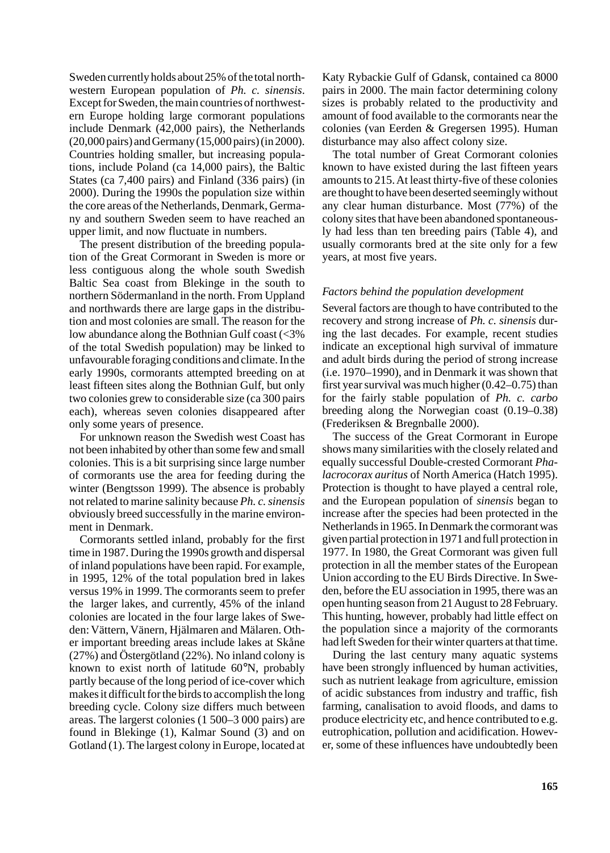Sweden currently holds about 25% of the total northwestern European population of *Ph. c. sinensis*. Except for Sweden, the main countries of northwestern Europe holding large cormorant populations include Denmark (42,000 pairs), the Netherlands (20,000 pairs) and Germany (15,000 pairs) (in 2000). Countries holding smaller, but increasing populations, include Poland (ca 14,000 pairs), the Baltic States (ca 7,400 pairs) and Finland (336 pairs) (in 2000). During the 1990s the population size within the core areas of the Netherlands, Denmark, Germany and southern Sweden seem to have reached an upper limit, and now fluctuate in numbers.

The present distribution of the breeding population of the Great Cormorant in Sweden is more or less contiguous along the whole south Swedish Baltic Sea coast from Blekinge in the south to northern Södermanland in the north. From Uppland and northwards there are large gaps in the distribution and most colonies are small. The reason for the low abundance along the Bothnian Gulf coast (<3% of the total Swedish population) may be linked to unfavourable foraging conditions and climate. In the early 1990s, cormorants attempted breeding on at least fifteen sites along the Bothnian Gulf, but only two colonies grew to considerable size (ca 300 pairs each), whereas seven colonies disappeared after only some years of presence.

For unknown reason the Swedish west Coast has not been inhabited by other than some few and small colonies. This is a bit surprising since large number of cormorants use the area for feeding during the winter (Bengtsson 1999). The absence is probably not related to marine salinity because *Ph. c.sinensis* obviously breed successfully in the marine environment in Denmark.

Cormorants settled inland, probably for the first time in 1987. During the 1990s growth and dispersal of inland populations have been rapid. For example, in 1995, 12% of the total population bred in lakes versus 19% in 1999. The cormorants seem to prefer the larger lakes, and currently, 45% of the inland colonies are located in the four large lakes of Sweden: Vättern, Vänern, Hjälmaren and Mälaren. Other important breeding areas include lakes at Skåne (27%) and Östergötland (22%). No inland colony is known to exist north of latitude 60°N, probably partly because of the long period of ice-cover which makes it difficult for the birds to accomplish the long breeding cycle. Colony size differs much between areas. The largerst colonies (1 500–3 000 pairs) are found in Blekinge (1), Kalmar Sound (3) and on Gotland (1). The largest colony in Europe, located at

Katy Rybackie Gulf of Gdansk, contained ca 8000 pairs in 2000. The main factor determining colony sizes is probably related to the productivity and amount of food available to the cormorants near the colonies (van Eerden & Gregersen 1995). Human disturbance may also affect colony size.

The total number of Great Cormorant colonies known to have existed during the last fifteen years amounts to 215. At least thirty-five of these colonies are thought to have been deserted seemingly without any clear human disturbance. Most (77%) of the colony sites that have been abandoned spontaneously had less than ten breeding pairs (Table 4), and usually cormorants bred at the site only for a few years, at most five years.

#### *Factors behind the population development*

Several factors are though to have contributed to the recovery and strong increase of *Ph. c. sinensis* during the last decades. For example, recent studies indicate an exceptional high survival of immature and adult birds during the period of strong increase (i.e. 1970–1990), and in Denmark it was shown that first year survival was much higher (0.42–0.75) than for the fairly stable population of *Ph. c. carbo* breeding along the Norwegian coast (0.19–0.38) (Frederiksen & Bregnballe 2000).

The success of the Great Cormorant in Europe shows many similarities with the closely related and equally successful Double-crested Cormorant *Phalacrocorax auritus* of North America (Hatch 1995). Protection is thought to have played a central role, and the European population of *sinensis* began to increase after the species had been protected in the Netherlands in 1965. In Denmark the cormorant was given partial protection in 1971 and full protection in 1977. In 1980, the Great Cormorant was given full protection in all the member states of the European Union according to the EU Birds Directive. In Sweden, before the EU association in 1995, there was an open hunting season from 21 August to 28 February. This hunting, however, probably had little effect on the population since a majority of the cormorants had left Sweden for their winter quarters at that time.

During the last century many aquatic systems have been strongly influenced by human activities, such as nutrient leakage from agriculture, emission of acidic substances from industry and traffic, fish farming, canalisation to avoid floods, and dams to produce electricity etc, and hence contributed to e.g. eutrophication, pollution and acidification. However, some of these influences have undoubtedly been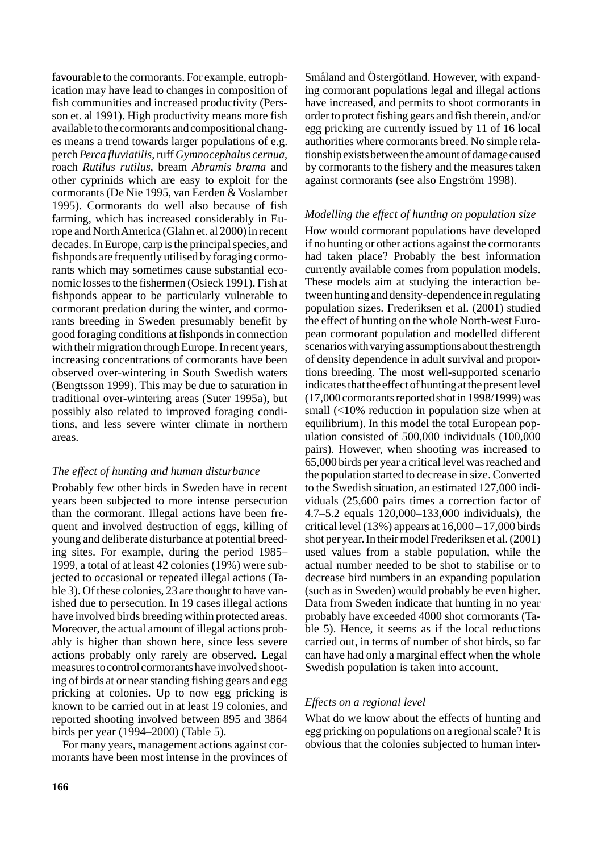favourable to the cormorants. For example, eutrophication may have lead to changes in composition of fish communities and increased productivity (Persson et. al 1991). High productivity means more fish available to the cormorants and compositional changes means a trend towards larger populations of e.g. perch *Perca fluviatilis*, ruff *Gymnocephalus cernua*, roach *Rutilus rutilus*, bream *Abramis brama* and other cyprinids which are easy to exploit for the cormorants (De Nie 1995, van Eerden & Voslamber 1995). Cormorants do well also because of fish farming, which has increased considerably in Europe and North America (Glahn et. al 2000) in recent decades. In Europe, carp is the principal species, and fishponds are frequently utilised by foraging cormorants which may sometimes cause substantial economic losses to the fishermen (Osieck 1991). Fish at fishponds appear to be particularly vulnerable to cormorant predation during the winter, and cormorants breeding in Sweden presumably benefit by good foraging conditions at fishponds in connection with their migration through Europe. In recent years, increasing concentrations of cormorants have been observed over-wintering in South Swedish waters (Bengtsson 1999). This may be due to saturation in traditional over-wintering areas (Suter 1995a), but possibly also related to improved foraging conditions, and less severe winter climate in northern areas.

### *The effect of hunting and human disturbance*

Probably few other birds in Sweden have in recent years been subjected to more intense persecution than the cormorant. Illegal actions have been frequent and involved destruction of eggs, killing of young and deliberate disturbance at potential breeding sites. For example, during the period 1985– 1999, a total of at least 42 colonies (19%) were subjected to occasional or repeated illegal actions (Table 3). Of these colonies, 23 are thought to have vanished due to persecution. In 19 cases illegal actions have involved birds breeding within protected areas. Moreover, the actual amount of illegal actions probably is higher than shown here, since less severe actions probably only rarely are observed. Legal measures to control cormorants have involved shooting of birds at or near standing fishing gears and egg pricking at colonies. Up to now egg pricking is known to be carried out in at least 19 colonies, and reported shooting involved between 895 and 3864 birds per year (1994–2000) (Table 5).

For many years, management actions against cormorants have been most intense in the provinces of Småland and Östergötland. However, with expanding cormorant populations legal and illegal actions have increased, and permits to shoot cormorants in order to protect fishing gears and fish therein, and/or egg pricking are currently issued by 11 of 16 local authorities where cormorants breed. No simple relationship exists between the amount of damage caused by cormorants to the fishery and the measures taken against cormorants (see also Engström 1998).

### *Modelling the effect of hunting on population size*

How would cormorant populations have developed if no hunting or other actions against the cormorants had taken place? Probably the best information currently available comes from population models. These models aim at studying the interaction between hunting and density-dependence in regulating population sizes. Frederiksen et al. (2001) studied the effect of hunting on the whole North-west European cormorant population and modelled different scenarios with varying assumptions about the strength of density dependence in adult survival and proportions breeding. The most well-supported scenario indicates that the effect of hunting at the present level (17,000 cormorants reported shot in 1998/1999) was small (<10% reduction in population size when at equilibrium). In this model the total European population consisted of 500,000 individuals (100,000 pairs). However, when shooting was increased to 65,000 birds per year a critical level was reached and the population started to decrease in size. Converted to the Swedish situation, an estimated 127,000 individuals (25,600 pairs times a correction factor of 4.7–5.2 equals 120,000–133,000 individuals), the critical level  $(13%)$  appears at  $16,000 - 17,000$  birds shot per year. In their model Frederiksen et al. (2001) used values from a stable population, while the actual number needed to be shot to stabilise or to decrease bird numbers in an expanding population (such as in Sweden) would probably be even higher. Data from Sweden indicate that hunting in no year probably have exceeded 4000 shot cormorants (Table 5). Hence, it seems as if the local reductions carried out, in terms of number of shot birds, so far can have had only a marginal effect when the whole Swedish population is taken into account.

#### *Effects on a regional level*

What do we know about the effects of hunting and egg pricking on populations on a regional scale? It is obvious that the colonies subjected to human inter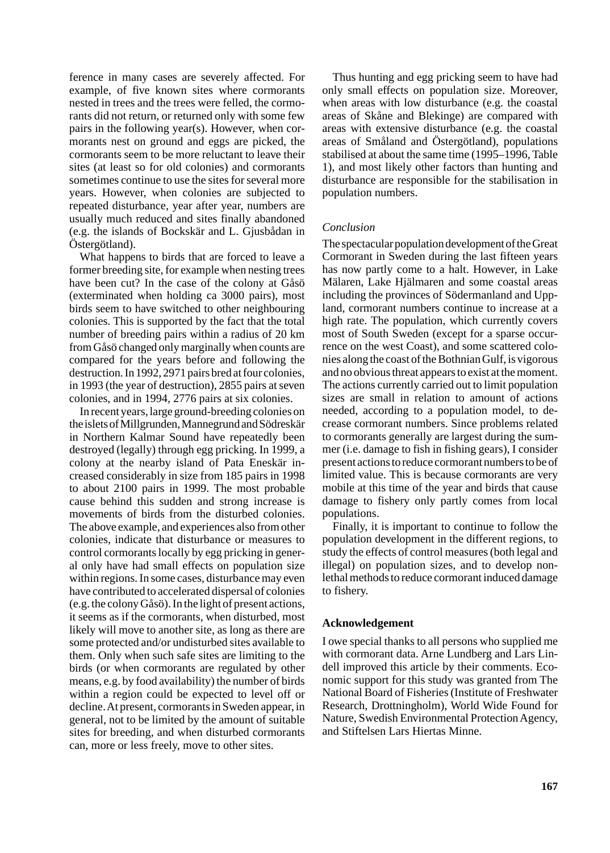ference in many cases are severely affected. For example, of five known sites where cormorants nested in trees and the trees were felled, the cormorants did not return, or returned only with some few pairs in the following year(s). However, when cormorants nest on ground and eggs are picked, the cormorants seem to be more reluctant to leave their sites (at least so for old colonies) and cormorants sometimes continue to use the sites for several more years. However, when colonies are subjected to repeated disturbance, year after year, numbers are usually much reduced and sites finally abandoned (e.g. the islands of Bockskär and L. Gjusbådan in Östergötland).

What happens to birds that are forced to leave a former breeding site, for example when nesting trees have been cut? In the case of the colony at Gåsö (exterminated when holding ca 3000 pairs), most birds seem to have switched to other neighbouring colonies. This is supported by the fact that the total number of breeding pairs within a radius of 20 km from Gåsö changed only marginally when counts are compared for the years before and following the destruction. In 1992, 2971 pairs bred at four colonies, in 1993 (the year of destruction), 2855 pairs at seven colonies, and in 1994, 2776 pairs at six colonies.

In recent years, large ground-breeding colonies on the islets of Millgrunden, Mannegrund and Södreskär in Northern Kalmar Sound have repeatedly been destroyed (legally) through egg pricking. In 1999, a colony at the nearby island of Pata Eneskär increased considerably in size from 185 pairs in 1998 to about 2100 pairs in 1999. The most probable cause behind this sudden and strong increase is movements of birds from the disturbed colonies. The above example, and experiences also from other colonies, indicate that disturbance or measures to control cormorants locally by egg pricking in general only have had small effects on population size within regions. In some cases, disturbance may even have contributed to accelerated dispersal of colonies (e.g. the colony Gåsö). In the light of present actions, it seems as if the cormorants, when disturbed, most likely will move to another site, as long as there are some protected and/or undisturbed sites available to them. Only when such safe sites are limiting to the birds (or when cormorants are regulated by other means, e.g. by food availability) the number of birds within a region could be expected to level off or decline. At present, cormorants in Sweden appear, in general, not to be limited by the amount of suitable sites for breeding, and when disturbed cormorants can, more or less freely, move to other sites.

Thus hunting and egg pricking seem to have had only small effects on population size. Moreover, when areas with low disturbance (e.g. the coastal areas of Skåne and Blekinge) are compared with areas with extensive disturbance (e.g. the coastal areas of Småland and Östergötland), populations stabilised at about the same time (1995–1996, Table 1), and most likely other factors than hunting and disturbance are responsible for the stabilisation in population numbers.

### *Conclusion*

The spectacular population development of the Great Cormorant in Sweden during the last fifteen years has now partly come to a halt. However, in Lake Mälaren, Lake Hjälmaren and some coastal areas including the provinces of Södermanland and Uppland, cormorant numbers continue to increase at a high rate. The population, which currently covers most of South Sweden (except for a sparse occurrence on the west Coast), and some scattered colonies along the coast of the Bothnian Gulf, is vigorous and no obvious threat appears to exist at the moment. The actions currently carried out to limit population sizes are small in relation to amount of actions needed, according to a population model, to decrease cormorant numbers. Since problems related to cormorants generally are largest during the summer (i.e. damage to fish in fishing gears), I consider present actions to reduce cormorant numbers to be of limited value. This is because cormorants are very mobile at this time of the year and birds that cause damage to fishery only partly comes from local populations.

Finally, it is important to continue to follow the population development in the different regions, to study the effects of control measures (both legal and illegal) on population sizes, and to develop nonlethal methods to reduce cormorant induced damage to fishery.

### **Acknowledgement**

I owe special thanks to all persons who supplied me with cormorant data. Arne Lundberg and Lars Lindell improved this article by their comments. Economic support for this study was granted from The National Board of Fisheries (Institute of Freshwater Research, Drottningholm), World Wide Found for Nature, Swedish Environmental Protection Agency, and Stiftelsen Lars Hiertas Minne.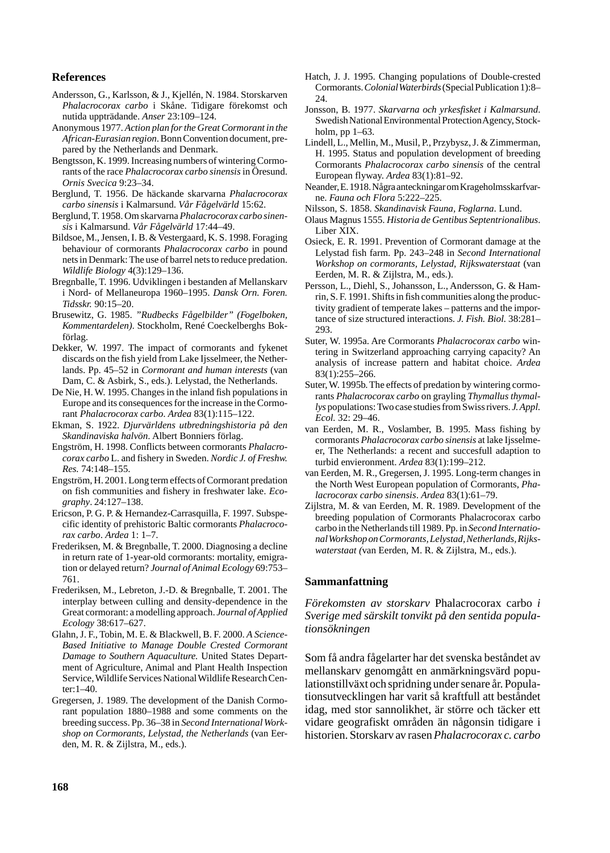#### **References**

- Andersson, G., Karlsson, & J., Kjellén, N. 1984. Storskarven *Phalacrocorax carbo* i Skåne. Tidigare förekomst och nutida uppträdande. *Anser* 23:109–124.
- Anonymous 1977. *Action plan for the Great Cormorant in the African-Eurasian region*. Bonn Convention document, prepared by the Netherlands and Denmark.
- Bengtsson, K. 1999. Increasing numbers of wintering Cormorants of the race *Phalacrocorax carbo sinensis*in Öresund. *Ornis Svecica* 9:23–34.
- Berglund, T. 1956. De häckande skarvarna *Phalacrocorax carbo sinensis* i Kalmarsund. *Vår Fågelvärld* 15:62.
- Berglund, T. 1958. Om skarvarna *Phalacrocorax carbo sinensis* i Kalmarsund. *Vår Fågelvärld* 17:44–49.
- Bildsoe, M., Jensen, I. B. & Vestergaard, K. S. 1998. Foraging behaviour of cormorants *Phalacrocorax carbo* in pound nets in Denmark: The use of barrel nets to reduce predation. *Wildlife Biology* 4(3):129–136.
- Bregnballe, T. 1996. Udviklingen i bestanden af Mellanskarv i Nord- of Mellaneuropa 1960–1995. *Dansk Orn. Foren. Tidsskr.* 90:15–20.
- Brusewitz, G. 1985. *"Rudbecks Fågelbilder" (Fogelboken, Kommentardelen)*. Stockholm, René Coeckelberghs Bokförlag.
- Dekker, W. 1997. The impact of cormorants and fykenet discards on the fish yield from Lake Ijsselmeer, the Netherlands. Pp. 45–52 in *Cormorant and human interests* (van Dam, C. & Asbirk, S., eds.). Lelystad, the Netherlands.
- De Nie, H. W. 1995. Changes in the inland fish populations in Europe and its consequences for the increase in the Cormorant *Phalacrocorax carbo*. *Ardea* 83(1):115–122.
- Ekman, S. 1922. *Djurvärldens utbredningshistoria på den Skandinaviska halvön*. Albert Bonniers förlag.
- Engström, H. 1998. Conflicts between cormorants *Phalacrocorax carbo* L. and fishery in Sweden. *Nordic J. of Freshw. Res.* 74:148–155.
- Engström, H. 2001. Long term effects of Cormorant predation on fish communities and fishery in freshwater lake. *Ecography*. 24:127–138.
- Ericson, P. G. P. & Hernandez-Carrasquilla, F. 1997. Subspecific identity of prehistoric Baltic cormorants *Phalacrocorax carbo*. *Ardea* 1: 1–7.
- Frederiksen, M. & Bregnballe, T. 2000. Diagnosing a decline in return rate of 1-year-old cormorants: mortality, emigration or delayed return? *Journal of Animal Ecology* 69:753– 761.
- Frederiksen, M., Lebreton, J.-D. & Bregnballe, T. 2001. The interplay between culling and density-dependence in the Great cormorant: a modelling approach. *Journal of Applied Ecology* 38:617–627.
- Glahn, J. F., Tobin, M. E. & Blackwell, B. F. 2000. *A Science-Based Initiative to Manage Double Crested Cormorant Damage to Southern Aquaculture.* United States Department of Agriculture, Animal and Plant Health Inspection Service, Wildlife Services National Wildlife Research Center:1–40.
- Gregersen, J. 1989. The development of the Danish Cormorant population 1880–1988 and some comments on the breeding success. Pp. 36–38 in *Second International Workshop on Cormorants, Lelystad, the Netherlands* (van Eerden, M. R. & Zijlstra, M., eds.).
- Hatch, J. J. 1995. Changing populations of Double-crested Cormorants. *Colonial Waterbirds*(Special Publication 1):8– 24.
- Jonsson, B. 1977. *Skarvarna och yrkesfisket i Kalmarsund*. Swedish National Environmental Protection Agency, Stockholm, pp 1–63.
- Lindell, L., Mellin, M., Musil, P., Przybysz, J. & Zimmerman, H. 1995. Status and population development of breeding Cormorants *Phalacrocorax carbo sinensis* of the central European flyway. *Ardea* 83(1):81–92.
- Neander, E. 1918. Några anteckningar om Krageholmsskarfvarne. *Fauna och Flora* 5:222–225.
- Nilsson, S. 1858. *Skandinavisk Fauna, Foglarna*. Lund.
- Olaus Magnus 1555. *Historia de Gentibus Septentrionalibus*. Liber XIX.
- Osieck, E. R. 1991. Prevention of Cormorant damage at the Lelystad fish farm. Pp. 243–248 in *Second International Workshop on cormorants, Lelystad, Rijkswaterstaat* (van Eerden, M. R. & Zijlstra, M., eds.).
- Persson, L., Diehl, S., Johansson, L., Andersson, G. & Hamrin, S. F. 1991. Shifts in fish communities along the productivity gradient of temperate lakes – patterns and the importance of size structured interactions. *J. Fish. Biol.* 38:281– 293.
- Suter, W. 1995a. Are Cormorants *Phalacrocorax carbo* wintering in Switzerland approaching carrying capacity? An analysis of increase pattern and habitat choice. *Ardea* 83(1):255–266.
- Suter, W. 1995b. The effects of predation by wintering cormorants *Phalacrocorax carbo* on grayling *Thymallus thymallys* populations: Two case studies from Swiss rivers. *J.Appl. Ecol.* 32: 29–46.
- van Eerden, M. R., Voslamber, B. 1995. Mass fishing by cormorants *Phalacrocorax carbo sinensis* at lake Ijsselmeer, The Netherlands: a recent and succesfull adaption to turbid envieronment. *Ardea* 83(1):199–212.
- van Eerden, M. R., Gregersen, J. 1995. Long-term changes in the North West European population of Cormorants, *Phalacrocorax carbo sinensis*. *Ardea* 83(1):61–79.
- Zijlstra, M. & van Eerden, M. R. 1989. Development of the breeding population of Cormorants Phalacrocorax carbo carbo in the Netherlands till 1989. Pp. in *Second International Workshop on Cormorants, Lelystad, Netherlands, Rijkswaterstaat (*van Eerden, M. R. & Zijlstra, M., eds.).

#### **Sammanfattning**

*Förekomsten av storskarv* Phalacrocorax carbo *i Sverige med särskilt tonvikt på den sentida populationsökningen*

Som få andra fågelarter har det svenska beståndet av mellanskarv genomgått en anmärkningsvärd populationstillväxt och spridning under senare år. Populationsutvecklingen har varit så kraftfull att beståndet idag, med stor sannolikhet, är större och täcker ett vidare geografiskt områden än någonsin tidigare i historien. Storskarv av rasen *Phalacrocorax c. carbo*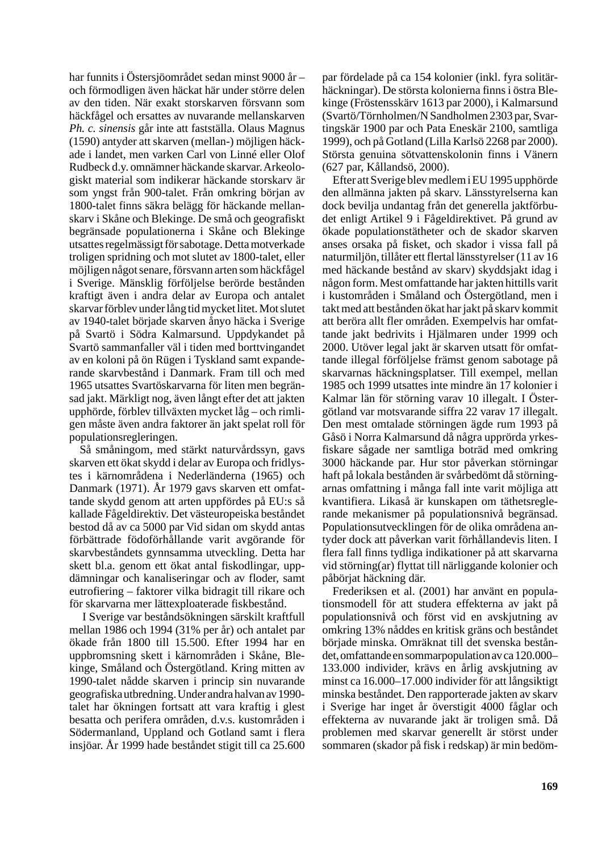har funnits i Östersjöområdet sedan minst 9000 år – och förmodligen även häckat här under större delen av den tiden. När exakt storskarven försvann som häckfågel och ersattes av nuvarande mellanskarven *Ph. c. sinensis* går inte att fastställa. Olaus Magnus (1590) antyder att skarven (mellan-) möjligen häckade i landet, men varken Carl von Linné eller Olof Rudbeck d.y. omnämner häckande skarvar. Arkeologiskt material som indikerar häckande storskarv är som yngst från 900-talet. Från omkring början av 1800-talet finns säkra belägg för häckande mellanskarv i Skåne och Blekinge. De små och geografiskt begränsade populationerna i Skåne och Blekinge utsattes regelmässigt för sabotage. Detta motverkade troligen spridning och mot slutet av 1800-talet, eller möjligen något senare, försvann arten som häckfågel i Sverige. Mänsklig förföljelse berörde bestånden kraftigt även i andra delar av Europa och antalet skarvar förblev under lång tid mycket litet. Mot slutet av 1940-talet började skarven ånyo häcka i Sverige på Svartö i Södra Kalmarsund. Uppdykandet på Svartö sammanfaller väl i tiden med borttvingandet av en koloni på ön Rügen i Tyskland samt expanderande skarvbestånd i Danmark. Fram till och med 1965 utsattes Svartöskarvarna för liten men begränsad jakt. Märkligt nog, även långt efter det att jakten upphörde, förblev tillväxten mycket låg – och rimligen måste även andra faktorer än jakt spelat roll för populationsregleringen.

Så småningom, med stärkt naturvårdssyn, gavs skarven ett ökat skydd i delar av Europa och fridlystes i kärnområdena i Nederländerna (1965) och Danmark (1971). År 1979 gavs skarven ett omfattande skydd genom att arten uppfördes på EU:s så kallade Fågeldirektiv. Det västeuropeiska beståndet bestod då av ca 5000 par Vid sidan om skydd antas förbättrade födoförhållande varit avgörande för skarvbeståndets gynnsamma utveckling. Detta har skett bl.a. genom ett ökat antal fiskodlingar, uppdämningar och kanaliseringar och av floder, samt eutrofiering – faktorer vilka bidragit till rikare och för skarvarna mer lättexploaterade fiskbestånd.

I Sverige var beståndsökningen särskilt kraftfull mellan 1986 och 1994 (31% per år) och antalet par ökade från 1800 till 15.500. Efter 1994 har en uppbromsning skett i kärnområden i Skåne, Blekinge, Småland och Östergötland. Kring mitten av 1990-talet nådde skarven i princip sin nuvarande geografiska utbredning. Under andra halvan av 1990 talet har ökningen fortsatt att vara kraftig i glest besatta och perifera områden, d.v.s. kustområden i Södermanland, Uppland och Gotland samt i flera insjöar. År 1999 hade beståndet stigit till ca 25.600

par fördelade på ca 154 kolonier (inkl. fyra solitärhäckningar). De största kolonierna finns i östra Blekinge (Fröstensskärv 1613 par 2000), i Kalmarsund (Svartö/Törnholmen/N Sandholmen 2303 par, Svartingskär 1900 par och Pata Eneskär 2100, samtliga 1999), och på Gotland (Lilla Karlsö 2268 par 2000). Största genuina sötvattenskolonin finns i Vänern (627 par, Kållandsö, 2000).

Efter att Sverige blev medlem i EU 1995 upphörde den allmänna jakten på skarv. Länsstyrelserna kan dock bevilja undantag från det generella jaktförbudet enligt Artikel 9 i Fågeldirektivet. På grund av ökade populationstätheter och de skador skarven anses orsaka på fisket, och skador i vissa fall på naturmiljön, tillåter ett flertal länsstyrelser (11 av 16 med häckande bestånd av skarv) skyddsjakt idag i någon form. Mest omfattande har jakten hittills varit i kustområden i Småland och Östergötland, men i takt med att bestånden ökat har jakt på skarv kommit att beröra allt fler områden. Exempelvis har omfattande jakt bedrivits i Hjälmaren under 1999 och 2000. Utöver legal jakt är skarven utsatt för omfattande illegal förföljelse främst genom sabotage på skarvarnas häckningsplatser. Till exempel, mellan 1985 och 1999 utsattes inte mindre än 17 kolonier i Kalmar län för störning varav 10 illegalt. I Östergötland var motsvarande siffra 22 varav 17 illegalt. Den mest omtalade störningen ägde rum 1993 på Gåsö i Norra Kalmarsund då några upprörda yrkesfiskare sågade ner samtliga boträd med omkring 3000 häckande par. Hur stor påverkan störningar haft på lokala bestånden är svårbedömt då störningarnas omfattning i många fall inte varit möjliga att kvantifiera. Likaså är kunskapen om täthetsreglerande mekanismer på populationsnivå begränsad. Populationsutvecklingen för de olika områdena antyder dock att påverkan varit förhållandevis liten. I flera fall finns tydliga indikationer på att skarvarna vid störning(ar) flyttat till närliggande kolonier och påbörjat häckning där.

Frederiksen et al. (2001) har använt en populationsmodell för att studera effekterna av jakt på populationsnivå och först vid en avskjutning av omkring 13% nåddes en kritisk gräns och beståndet började minska. Omräknat till det svenska beståndet, omfattande en sommarpopulation av ca 120.000– 133.000 individer, krävs en årlig avskjutning av minst ca 16.000–17.000 individer för att långsiktigt minska beståndet. Den rapporterade jakten av skarv i Sverige har inget år överstigit 4000 fåglar och effekterna av nuvarande jakt är troligen små. Då problemen med skarvar generellt är störst under sommaren (skador på fisk i redskap) är min bedöm